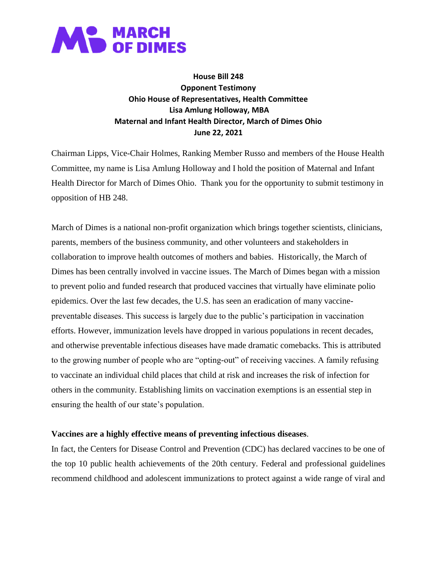

**House Bill 248 Opponent Testimony Ohio House of Representatives, Health Committee Lisa Amlung Holloway, MBA Maternal and Infant Health Director, March of Dimes Ohio June 22, 2021**

Chairman Lipps, Vice-Chair Holmes, Ranking Member Russo and members of the House Health Committee, my name is Lisa Amlung Holloway and I hold the position of Maternal and Infant Health Director for March of Dimes Ohio. Thank you for the opportunity to submit testimony in opposition of HB 248.

March of Dimes is a national non-profit organization which brings together scientists, clinicians, parents, members of the business community, and other volunteers and stakeholders in collaboration to improve health outcomes of mothers and babies. Historically, the March of Dimes has been centrally involved in vaccine issues. The March of Dimes began with a mission to prevent polio and funded research that produced vaccines that virtually have eliminate polio epidemics. Over the last few decades, the U.S. has seen an eradication of many vaccinepreventable diseases. This success is largely due to the public's participation in vaccination efforts. However, immunization levels have dropped in various populations in recent decades, and otherwise preventable infectious diseases have made dramatic comebacks. This is attributed to the growing number of people who are "opting-out" of receiving vaccines. A family refusing to vaccinate an individual child places that child at risk and increases the risk of infection for others in the community. Establishing limits on vaccination exemptions is an essential step in ensuring the health of our state's population.

## **Vaccines are a highly effective means of preventing infectious diseases**.

In fact, the Centers for Disease Control and Prevention (CDC) has declared vaccines to be one of the top 10 public health achievements of the 20th century. Federal and professional guidelines recommend childhood and adolescent immunizations to protect against a wide range of viral and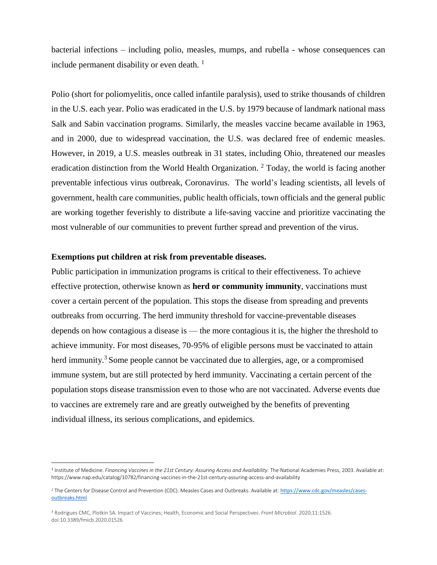bacterial infections – including polio, measles, mumps, and rubella - whose consequences can include permanent disability or even death.  $<sup>1</sup>$ </sup>

Polio (short for poliomyelitis, once called infantile paralysis), used to strike thousands of children in the U.S. each year. Polio was eradicated in the U.S. by 1979 because of landmark national mass Salk and Sabin vaccination programs. Similarly, the measles vaccine became available in 1963, and in 2000, due to widespread vaccination, the U.S. was declared free of endemic measles. However, in 2019, a U.S. measles outbreak in 31 states, including Ohio, threatened our measles eradication distinction from the World Health Organization.<sup>2</sup> Today, the world is facing another preventable infectious virus outbreak, Coronavirus. The world's leading scientists, all levels of government, health care communities, public health officials, town officials and the general public are working together feverishly to distribute a life-saving vaccine and prioritize vaccinating the most vulnerable of our communities to prevent further spread and prevention of the virus.

## **Exemptions put children at risk from preventable diseases.**

l

Public participation in immunization programs is critical to their effectiveness. To achieve effective protection, otherwise known as **herd or community immunity**, vaccinations must cover a certain percent of the population. This stops the disease from spreading and prevents outbreaks from occurring. The herd immunity threshold for vaccine-preventable diseases depends on how contagious a disease is — the more contagious it is, the higher the threshold to achieve immunity. For most diseases, 70-95% of eligible persons must be vaccinated to attain herd immunity.<sup>3</sup> Some people cannot be vaccinated due to allergies, age, or a compromised immune system, but are still protected by herd immunity. Vaccinating a certain percent of the population stops disease transmission even to those who are not vaccinated. Adverse events due to vaccines are extremely rare and are greatly outweighed by the benefits of preventing individual illness, its serious complications, and epidemics.

<sup>&</sup>lt;sup>1</sup> Institute of Medicine. Financing Vaccines in the 21st Century: Assuring Access and Availability. The National Academies Press, 2003. Available at: https://www.nap.edu/catalog/10782/financing-vaccines-in-the-21st-century-assuring-access-and-availability

<sup>&</sup>lt;sup>2</sup> The Centers for Disease Control and Prevention (CDC). Measles Cases and Outbreaks. Available at: [https://www.cdc.gov/measles/cases](https://www.cdc.gov/measles/cases-outbreaks.html)[outbreaks.html](https://www.cdc.gov/measles/cases-outbreaks.html)

<sup>3</sup> Rodrigues CMC, Plotkin SA. Impact of Vaccines; Health, Economic and Social Perspectives. *Front Microbiol*. 2020;11:1526. doi:10.3389/fmicb.2020.01526